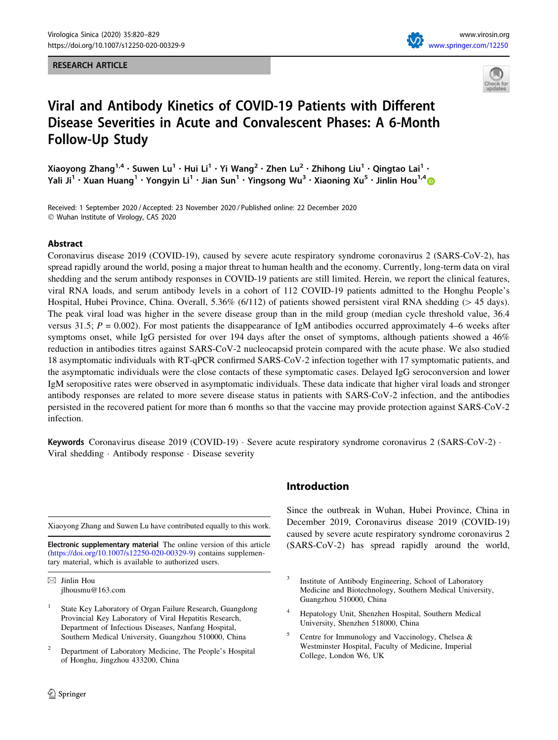#### RESEARCH ARTICLE





# Viral and Antibody Kinetics of COVID-19 Patients with Different Disease Severities in Acute and Convalescent Phases: A 6-Month Follow-Up Study

Xiaoyong Zhang<sup>1,4</sup> · Suwen Lu<sup>1</sup> · Hui Li<sup>1</sup> · Yi Wang<sup>2</sup> · Zhen Lu<sup>2</sup> · Zhihong Liu<sup>1</sup> · Qingtao Lai<sup>1</sup> · Yali Ji<sup>1</sup> • Xuan Huang<sup>1</sup> • Yongyin Li<sup>1</sup> • Jian Sun<sup>1</sup> • Yingsong Wu<sup>3</sup> • Xiaoning Xu<sup>5</sup> • Jinlin Hou<sup>1,4</sup>

Received: 1 September 2020 / Accepted: 23 November 2020 / Published online: 22 December 2020 - Wuhan Institute of Virology, CAS 2020

## Abstract

Coronavirus disease 2019 (COVID-19), caused by severe acute respiratory syndrome coronavirus 2 (SARS-CoV-2), has spread rapidly around the world, posing a major threat to human health and the economy. Currently, long-term data on viral shedding and the serum antibody responses in COVID-19 patients are still limited. Herein, we report the clinical features, viral RNA loads, and serum antibody levels in a cohort of 112 COVID-19 patients admitted to the Honghu People's Hospital, Hubei Province, China. Overall, 5.36% (6/112) of patients showed persistent viral RNA shedding ( $> 45$  days). The peak viral load was higher in the severe disease group than in the mild group (median cycle threshold value, 36.4 versus 31.5;  $P = 0.002$ ). For most patients the disappearance of IgM antibodies occurred approximately 4–6 weeks after symptoms onset, while IgG persisted for over 194 days after the onset of symptoms, although patients showed a 46% reduction in antibodies titres against SARS-CoV-2 nucleocapsid protein compared with the acute phase. We also studied 18 asymptomatic individuals with RT-qPCR confirmed SARS-CoV-2 infection together with 17 symptomatic patients, and the asymptomatic individuals were the close contacts of these symptomatic cases. Delayed IgG seroconversion and lower IgM seropositive rates were observed in asymptomatic individuals. These data indicate that higher viral loads and stronger antibody responses are related to more severe disease status in patients with SARS-CoV-2 infection, and the antibodies persisted in the recovered patient for more than 6 months so that the vaccine may provide protection against SARS-CoV-2 infection.

Keywords Coronavirus disease 2019 (COVID-19) · Severe acute respiratory syndrome coronavirus 2 (SARS-CoV-2) · Viral shedding - Antibody response - Disease severity

Xiaoyong Zhang and Suwen Lu have contributed equally to this work.

Electronic supplementary material The online version of this article (<https://doi.org/10.1007/s12250-020-00329-9>) contains supplementary material, which is available to authorized users.

 $\boxtimes$  Jinlin Hou jlhousmu@163.com

- State Key Laboratory of Organ Failure Research, Guangdong Provincial Key Laboratory of Viral Hepatitis Research, Department of Infectious Diseases, Nanfang Hospital, Southern Medical University, Guangzhou 510000, China
- <sup>2</sup> Department of Laboratory Medicine, The People's Hospital of Honghu, Jingzhou 433200, China

# Introduction

Since the outbreak in Wuhan, Hubei Province, China in December 2019, Coronavirus disease 2019 (COVID-19) caused by severe acute respiratory syndrome coronavirus 2 (SARS-CoV-2) has spread rapidly around the world,

- <sup>4</sup> Hepatology Unit, Shenzhen Hospital, Southern Medical University, Shenzhen 518000, China
- <sup>5</sup> Centre for Immunology and Vaccinology, Chelsea & Westminster Hospital, Faculty of Medicine, Imperial College, London W6, UK

<sup>&</sup>lt;sup>3</sup> Institute of Antibody Engineering, School of Laboratory Medicine and Biotechnology, Southern Medical University, Guangzhou 510000, China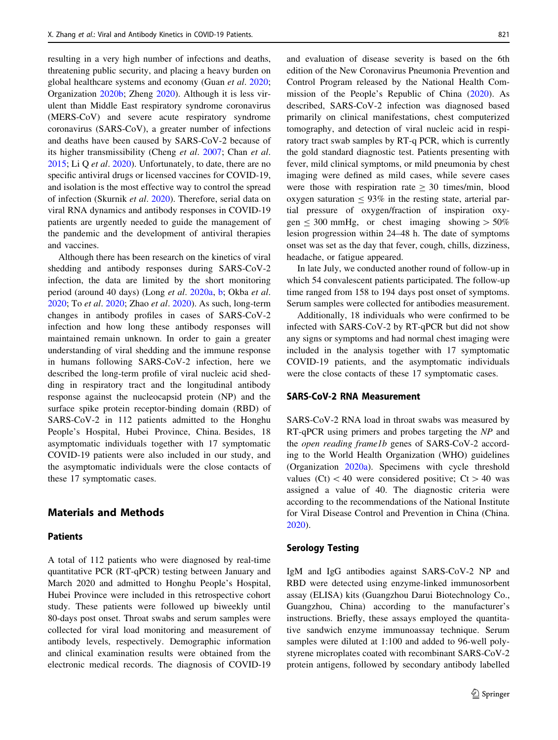resulting in a very high number of infections and deaths, threatening public security, and placing a heavy burden on global healthcare systems and economy (Guan et al. [2020](#page-8-0); Organization [2020b;](#page-9-0) Zheng [2020\)](#page-9-0). Although it is less virulent than Middle East respiratory syndrome coronavirus (MERS-CoV) and severe acute respiratory syndrome coronavirus (SARS-CoV), a greater number of infections and deaths have been caused by SARS-CoV-2 because of its higher transmissibility (Cheng et al. [2007;](#page-8-0) Chan et al. [2015;](#page-8-0) Li Q et al. [2020](#page-9-0)). Unfortunately, to date, there are no specific antiviral drugs or licensed vaccines for COVID-19, and isolation is the most effective way to control the spread of infection (Skurnik et al. [2020\)](#page-9-0). Therefore, serial data on viral RNA dynamics and antibody responses in COVID-19 patients are urgently needed to guide the management of the pandemic and the development of antiviral therapies and vaccines.

Although there has been research on the kinetics of viral shedding and antibody responses during SARS-CoV-2 infection, the data are limited by the short monitoring period (around 40 days) (Long et al. [2020a](#page-9-0), [b;](#page-9-0) Okba et al. [2020;](#page-9-0) To et al. [2020;](#page-9-0) Zhao et al. [2020](#page-9-0)). As such, long-term changes in antibody profiles in cases of SARS-CoV-2 infection and how long these antibody responses will maintained remain unknown. In order to gain a greater understanding of viral shedding and the immune response in humans following SARS-CoV-2 infection, here we described the long-term profile of viral nucleic acid shedding in respiratory tract and the longitudinal antibody response against the nucleocapsid protein (NP) and the surface spike protein receptor-binding domain (RBD) of SARS-CoV-2 in 112 patients admitted to the Honghu People's Hospital, Hubei Province, China. Besides, 18 asymptomatic individuals together with 17 symptomatic COVID-19 patients were also included in our study, and the asymptomatic individuals were the close contacts of these 17 symptomatic cases.

# Materials and Methods

# Patients

A total of 112 patients who were diagnosed by real-time quantitative PCR (RT-qPCR) testing between January and March 2020 and admitted to Honghu People's Hospital, Hubei Province were included in this retrospective cohort study. These patients were followed up biweekly until 80-days post onset. Throat swabs and serum samples were collected for viral load monitoring and measurement of antibody levels, respectively. Demographic information and clinical examination results were obtained from the electronic medical records. The diagnosis of COVID-19

and evaluation of disease severity is based on the 6th edition of the New Coronavirus Pneumonia Prevention and Control Program released by the National Health Commission of the People's Republic of China ([2020\)](#page-9-0). As described, SARS-CoV-2 infection was diagnosed based primarily on clinical manifestations, chest computerized tomography, and detection of viral nucleic acid in respiratory tract swab samples by RT-q PCR, which is currently the gold standard diagnostic test. Patients presenting with fever, mild clinical symptoms, or mild pneumonia by chest imaging were defined as mild cases, while severe cases were those with respiration rate  $\geq 30$  times/min, blood oxygen saturation  $\leq 93\%$  in the resting state, arterial partial pressure of oxygen/fraction of inspiration oxygen  $\leq 300$  mmHg, or chest imaging showing  $> 50\%$ lesion progression within 24–48 h. The date of symptoms onset was set as the day that fever, cough, chills, dizziness, headache, or fatigue appeared.

In late July, we conducted another round of follow-up in which 54 convalescent patients participated. The follow-up time ranged from 158 to 194 days post onset of symptoms. Serum samples were collected for antibodies measurement.

Additionally, 18 individuals who were confirmed to be infected with SARS-CoV-2 by RT-qPCR but did not show any signs or symptoms and had normal chest imaging were included in the analysis together with 17 symptomatic COVID-19 patients, and the asymptomatic individuals were the close contacts of these 17 symptomatic cases.

### SARS-CoV-2 RNA Measurement

SARS-CoV-2 RNA load in throat swabs was measured by RT-qPCR using primers and probes targeting the NP and the open reading frame1b genes of SARS-CoV-2 according to the World Health Organization (WHO) guidelines (Organization [2020a\)](#page-9-0). Specimens with cycle threshold values (Ct)  $<$  40 were considered positive; Ct  $>$  40 was assigned a value of 40. The diagnostic criteria were according to the recommendations of the National Institute for Viral Disease Control and Prevention in China (China. [2020](#page-9-0)).

## Serology Testing

IgM and IgG antibodies against SARS-CoV-2 NP and RBD were detected using enzyme-linked immunosorbent assay (ELISA) kits (Guangzhou Darui Biotechnology Co., Guangzhou, China) according to the manufacturer's instructions. Briefly, these assays employed the quantitative sandwich enzyme immunoassay technique. Serum samples were diluted at 1:100 and added to 96-well polystyrene microplates coated with recombinant SARS-CoV-2 protein antigens, followed by secondary antibody labelled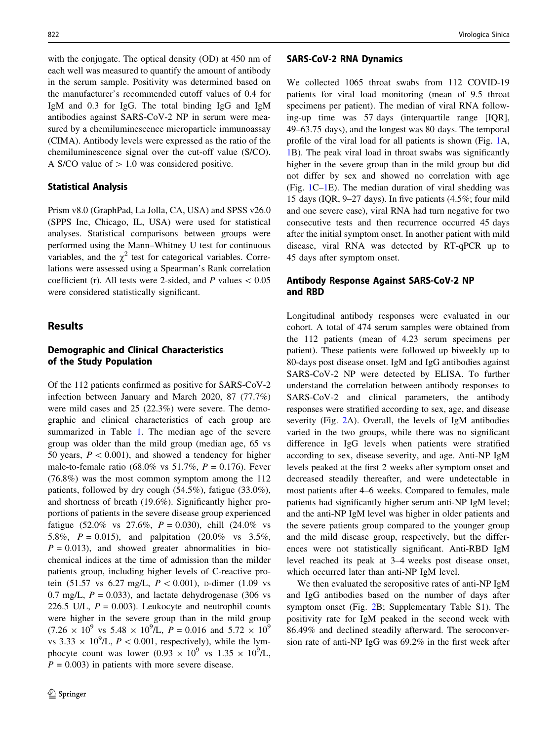with the conjugate. The optical density (OD) at 450 nm of each well was measured to quantify the amount of antibody in the serum sample. Positivity was determined based on the manufacturer's recommended cutoff values of 0.4 for IgM and 0.3 for IgG. The total binding IgG and IgM antibodies against SARS-CoV-2 NP in serum were measured by a chemiluminescence microparticle immunoassay (CIMA). Antibody levels were expressed as the ratio of the chemiluminescence signal over the cut-off value (S/CO). A S/CO value of  $> 1.0$  was considered positive.

## Statistical Analysis

Prism v8.0 (GraphPad, La Jolla, CA, USA) and SPSS v26.0 (SPPS Inc, Chicago, IL, USA) were used for statistical analyses. Statistical comparisons between groups were performed using the Mann–Whitney U test for continuous variables, and the  $\chi^2$  test for categorical variables. Correlations were assessed using a Spearman's Rank correlation coefficient (r). All tests were 2-sided, and P values  $\lt 0.05$ were considered statistically significant.

# Results

## Demographic and Clinical Characteristics of the Study Population

Of the 112 patients confirmed as positive for SARS-CoV-2 infection between January and March 2020, 87 (77.7%) were mild cases and 25 (22.3%) were severe. The demographic and clinical characteristics of each group are summarized in Table [1.](#page-3-0) The median age of the severe group was older than the mild group (median age, 65 vs 50 years,  $P < 0.001$ ), and showed a tendency for higher male-to-female ratio (68.0% vs 51.7%,  $P = 0.176$ ). Fever (76.8%) was the most common symptom among the 112 patients, followed by dry cough (54.5%), fatigue (33.0%), and shortness of breath (19.6%). Significantly higher proportions of patients in the severe disease group experienced fatigue (52.0% vs 27.6%,  $P = 0.030$ ), chill (24.0% vs 5.8%,  $P = 0.015$ ), and palpitation (20.0% vs 3.5%,  $P = 0.013$ , and showed greater abnormalities in biochemical indices at the time of admission than the milder patients group, including higher levels of C-reactive protein (51.57 vs 6.27 mg/L,  $P < 0.001$ ), p-dimer (1.09 vs 0.7 mg/L,  $P = 0.033$ ), and lactate dehydrogenase (306 vs 226.5 U/L,  $P = 0.003$ ). Leukocyte and neutrophil counts were higher in the severe group than in the mild group  $(7.26 \times 10^9 \text{ vs } 5.48 \times 10^9/\text{L}, P = 0.016 \text{ and } 5.72 \times 10^9$ vs 3.33  $\times$  10<sup>9</sup>/L, *P* < 0.001, respectively), while the lymphocyte count was lower  $(0.93 \times 10^9 \text{ vs } 1.35 \times 10^9/\text{L})$ ,  $P = 0.003$  in patients with more severe disease.

### SARS-CoV-2 RNA Dynamics

We collected 1065 throat swabs from 112 COVID-19 patients for viral load monitoring (mean of 9.5 throat specimens per patient). The median of viral RNA following-up time was 57 days (interquartile range [IQR], 49–63.75 days), and the longest was 80 days. The temporal profile of the viral load for all patients is shown (Fig. [1A](#page-4-0), [1](#page-4-0)B). The peak viral load in throat swabs was significantly higher in the severe group than in the mild group but did not differ by sex and showed no correlation with age (Fig. [1C–1](#page-4-0)E). The median duration of viral shedding was 15 days (IQR, 9–27 days). In five patients (4.5%; four mild and one severe case), viral RNA had turn negative for two consecutive tests and then recurrence occurred 45 days after the initial symptom onset. In another patient with mild disease, viral RNA was detected by RT-qPCR up to 45 days after symptom onset.

## Antibody Response Against SARS-CoV-2 NP and RBD

Longitudinal antibody responses were evaluated in our cohort. A total of 474 serum samples were obtained from the 112 patients (mean of 4.23 serum specimens per patient). These patients were followed up biweekly up to 80-days post disease onset. IgM and IgG antibodies against SARS-CoV-2 NP were detected by ELISA. To further understand the correlation between antibody responses to SARS-CoV-2 and clinical parameters, the antibody responses were stratified according to sex, age, and disease severity (Fig. [2A](#page-5-0)). Overall, the levels of IgM antibodies varied in the two groups, while there was no significant difference in IgG levels when patients were stratified according to sex, disease severity, and age. Anti-NP IgM levels peaked at the first 2 weeks after symptom onset and decreased steadily thereafter, and were undetectable in most patients after 4–6 weeks. Compared to females, male patients had significantly higher serum anti-NP IgM level; and the anti-NP IgM level was higher in older patients and the severe patients group compared to the younger group and the mild disease group, respectively, but the differences were not statistically significant. Anti-RBD IgM level reached its peak at 3–4 weeks post disease onset, which occurred later than anti-NP IgM level.

We then evaluated the seropositive rates of anti-NP IgM and IgG antibodies based on the number of days after symptom onset (Fig. [2B](#page-5-0); Supplementary Table S1). The positivity rate for IgM peaked in the second week with 86.49% and declined steadily afterward. The seroconversion rate of anti-NP IgG was 69.2% in the first week after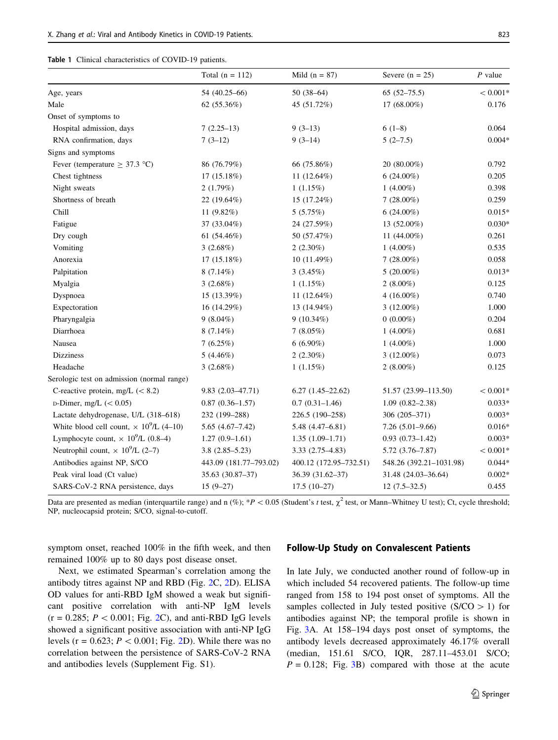<span id="page-3-0"></span>

|  | Table 1 Clinical characteristics of COVID-19 patients. |  |  |
|--|--------------------------------------------------------|--|--|
|--|--------------------------------------------------------|--|--|

|                                                            | Total $(n = 112)$      | Mild $(n = 87)$        | Severe $(n = 25)$       | $P$ value  |
|------------------------------------------------------------|------------------------|------------------------|-------------------------|------------|
| Age, years                                                 | 54 (40.25-66)          | $50(38-64)$            | $65(52-75.5)$           | $<0.001*$  |
| Male                                                       | 62 (55.36%)            | 45 (51.72%)            | 17 (68.00%)             | 0.176      |
| Onset of symptoms to                                       |                        |                        |                         |            |
| Hospital admission, days                                   | $7(2.25-13)$           | $9(3-13)$              | $6(1-8)$                | 0.064      |
| RNA confirmation, days                                     | $7(3-12)$              | $9(3-14)$              | $5(2-7.5)$              | $0.004*$   |
| Signs and symptoms                                         |                        |                        |                         |            |
| Fever (temperature $\geq$ 37.3 °C)                         | 86 (76.79%)            | 66 (75.86%)            | 20 (80.00%)             | 0.792      |
| Chest tightness                                            | 17(15.18%)             | 11 $(12.64\%)$         | $6(24.00\%)$            | 0.205      |
| Night sweats                                               | 2(1.79%)               | $1(1.15\%)$            | 1 $(4.00\%)$            | 0.398      |
| Shortness of breath                                        | 22 (19.64%)            | 15 (17.24%)            | $7(28.00\%)$            | 0.259      |
| Chill                                                      | 11 $(9.82\%)$          | 5(5.75%)               | $6(24.00\%)$            | $0.015*$   |
| Fatigue                                                    | 37 (33.04%)            | 24 (27.59%)            | 13 (52.00%)             | $0.030*$   |
| Dry cough                                                  | 61 $(54.46\%)$         | 50 (57.47%)            | 11 (44.00%)             | 0.261      |
| Vomiting                                                   | 3(2.68%)               | $2(2.30\%)$            | 1 $(4.00\%)$            | 0.535      |
| Anorexia                                                   | 17(15.18%)             | 10(11.49%)             | $7(28.00\%)$            | 0.058      |
| Palpitation                                                | $8(7.14\%)$            | $3(3.45\%)$            | $5(20.00\%)$            | $0.013*$   |
| Myalgia                                                    | 3(2.68%)               | $1(1.15\%)$            | $2(8.00\%)$             | 0.125      |
| Dyspnoea                                                   | 15 (13.39%)            | 11 $(12.64\%)$         | 4 $(16.00\%)$           | 0.740      |
| Expectoration                                              | 16 (14.29%)            | 13 (14.94%)            | $3(12.00\%)$            | 1.000      |
| Pharyngalgia                                               | $9(8.04\%)$            | $9(10.34\%)$           | $0(0.00\%)$             | 0.204      |
| Diarrhoea                                                  | $8(7.14\%)$            | $7(8.05\%)$            | 1 $(4.00\%)$            | 0.681      |
| Nausea                                                     | 7(6.25%)               | $6(6.90\%)$            | 1 $(4.00\%)$            | 1.000      |
| <b>Dizziness</b>                                           | $5(4.46\%)$            | $2(2.30\%)$            | $3(12.00\%)$            | 0.073      |
| Headache                                                   | 3(2.68%)               | $1(1.15\%)$            | $2(8.00\%)$             | 0.125      |
| Serologic test on admission (normal range)                 |                        |                        |                         |            |
| C-reactive protein, mg/L $(< 8.2)$                         | $9.83(2.03 - 47.71)$   | $6.27(1.45-22.62)$     | 51.57 (23.99-113.50)    | $< 0.001*$ |
| $D$ -Dimer, mg/L (< 0.05)                                  | $0.87(0.36 - 1.57)$    | $0.7(0.31-1.46)$       | $1.09(0.82 - 2.38)$     | $0.033*$   |
| Lactate dehydrogenase, U/L (318-618)                       | 232 (199-288)          | 226.5 (190-258)        | 306 (205-371)           | $0.003*$   |
| White blood cell count, $\times$ 10 <sup>9</sup> /L (4–10) | $5.65(4.67-7.42)$      | $5.48(4.47 - 6.81)$    | $7.26(5.01-9.66)$       | $0.016*$   |
| Lymphocyte count, $\times 10^9$ /L (0.8–4)                 | $1.27(0.9-1.61)$       | $1.35(1.09-1.71)$      | $0.93(0.73 - 1.42)$     | $0.003*$   |
| Neutrophil count, $\times$ 10 <sup>9</sup> /L (2–7)        | $3.8(2.85 - 5.23)$     | $3.33(2.75-4.83)$      | $5.72(3.76 - 7.87)$     | $< 0.001*$ |
| Antibodies against NP, S/CO                                | 443.09 (181.77-793.02) | 400.12 (172.95-732.51) | 548.26 (392.21-1031.98) | $0.044*$   |
| Peak viral load (Ct value)                                 | 35.63 (30.87-37)       | 36.39 (31.62-37)       | 31.48 (24.03-36.64)     | $0.002*$   |
| SARS-CoV-2 RNA persistence, days                           | $15(9-27)$             | $17.5(10-27)$          | $12(7.5-32.5)$          | 0.455      |

Data are presented as median (interquartile range) and n (%); \*P < 0.05 (Student's t test,  $\chi^2$  test, or Mann–Whitney U test); Ct, cycle threshold; NP, nucleocapsid protein; S/CO, signal-to-cutoff.

symptom onset, reached 100% in the fifth week, and then remained 100% up to 80 days post disease onset.

Next, we estimated Spearman's correlation among the antibody titres against NP and RBD (Fig. [2C](#page-5-0), [2D](#page-5-0)). ELISA OD values for anti-RBD IgM showed a weak but significant positive correlation with anti-NP IgM levels  $(r = 0.285; P < 0.001;$  Fig. [2C](#page-5-0)), and anti-RBD IgG levels showed a significant positive association with anti-NP IgG levels ( $r = 0.623$  $r = 0.623$  $r = 0.623$ ;  $P < 0.001$ ; Fig. 2D). While there was no correlation between the persistence of SARS-CoV-2 RNA and antibodies levels (Supplement Fig. S1).

## Follow-Up Study on Convalescent Patients

In late July, we conducted another round of follow-up in which included 54 recovered patients. The follow-up time ranged from 158 to 194 post onset of symptoms. All the samples collected in July tested positive  $(S/CO > 1)$  for antibodies against NP; the temporal profile is shown in Fig. [3](#page-6-0)A. At 158–194 days post onset of symptoms, the antibody levels decreased approximately 46.17% overall (median, 151.61 S/CO, IQR, 287.11–453.01 S/CO;  $P = 0.128$ ; Fig. [3B](#page-6-0)) compared with those at the acute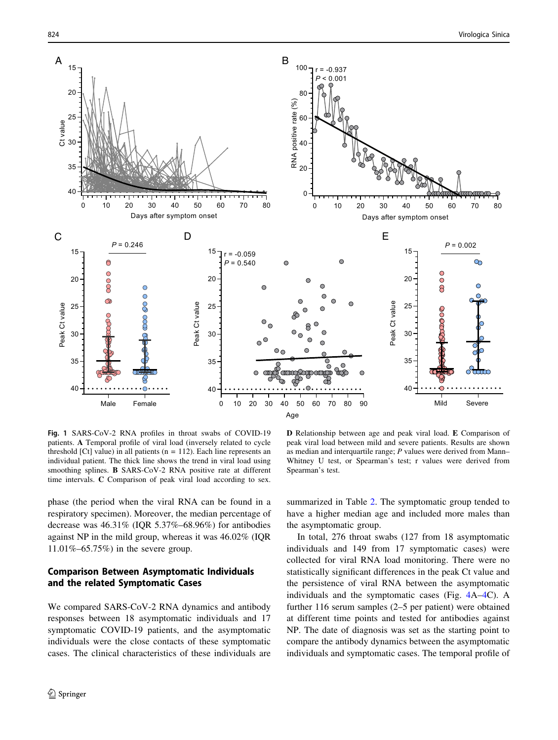<span id="page-4-0"></span>

Fig. 1 SARS-CoV-2 RNA profiles in throat swabs of COVID-19 patients. A Temporal profile of viral load (inversely related to cycle threshold  $[Ct]$  value) in all patients  $(n = 112)$ . Each line represents an individual patient. The thick line shows the trend in viral load using smoothing splines. B SARS-CoV-2 RNA positive rate at different time intervals. C Comparison of peak viral load according to sex.

phase (the period when the viral RNA can be found in a respiratory specimen). Moreover, the median percentage of decrease was 46.31% (IQR 5.37%–68.96%) for antibodies against NP in the mild group, whereas it was 46.02% (IQR 11.01%–65.75%) in the severe group.

## Comparison Between Asymptomatic Individuals and the related Symptomatic Cases

We compared SARS-CoV-2 RNA dynamics and antibody responses between 18 asymptomatic individuals and 17 symptomatic COVID-19 patients, and the asymptomatic individuals were the close contacts of these symptomatic cases. The clinical characteristics of these individuals are

D Relationship between age and peak viral load. E Comparison of peak viral load between mild and severe patients. Results are shown as median and interquartile range; P values were derived from Mann– Whitney U test, or Spearman's test; r values were derived from Spearman's test.

summarized in Table [2](#page-6-0). The symptomatic group tended to have a higher median age and included more males than the asymptomatic group.

In total, 276 throat swabs (127 from 18 asymptomatic individuals and 149 from 17 symptomatic cases) were collected for viral RNA load monitoring. There were no statistically significant differences in the peak Ct value and the persistence of viral RNA between the asymptomatic individuals and the symptomatic cases (Fig. [4A](#page-7-0)–[4C](#page-7-0)). A further 116 serum samples (2–5 per patient) were obtained at different time points and tested for antibodies against NP. The date of diagnosis was set as the starting point to compare the antibody dynamics between the asymptomatic individuals and symptomatic cases. The temporal profile of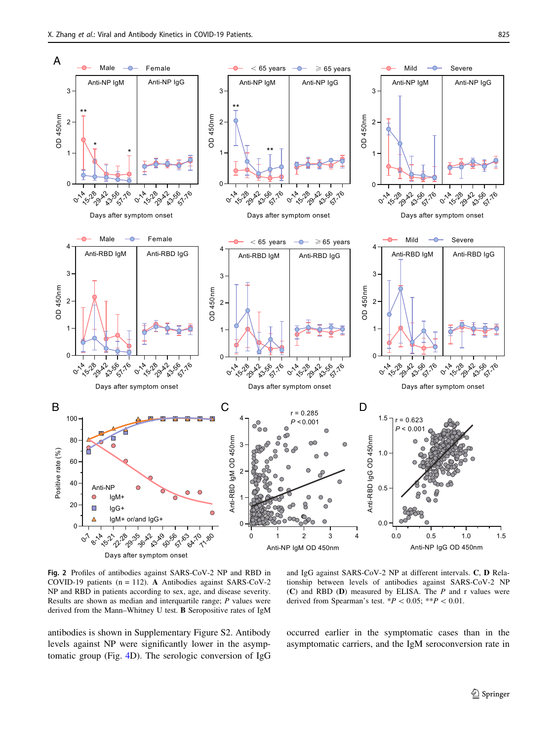<span id="page-5-0"></span>

Fig. 2 Profiles of antibodies against SARS-CoV-2 NP and RBD in COVID-19 patients (n = 112). A Antibodies against SARS-CoV-2 NP and RBD in patients according to sex, age, and disease severity. Results are shown as median and interquartile range; P values were derived from the Mann–Whitney U test. B Seropositive rates of IgM

antibodies is shown in Supplementary Figure S2. Antibody levels against NP were significantly lower in the asymptomatic group (Fig. [4D](#page-7-0)). The serologic conversion of IgG

and IgG against SARS-CoV-2 NP at different intervals. C, D Relationship between levels of antibodies against SARS-CoV-2 NP (C) and RBD (D) measured by ELISA. The  $P$  and r values were derived from Spearman's test.  $*P < 0.05$ ;  $**P < 0.01$ .

occurred earlier in the symptomatic cases than in the asymptomatic carriers, and the IgM seroconversion rate in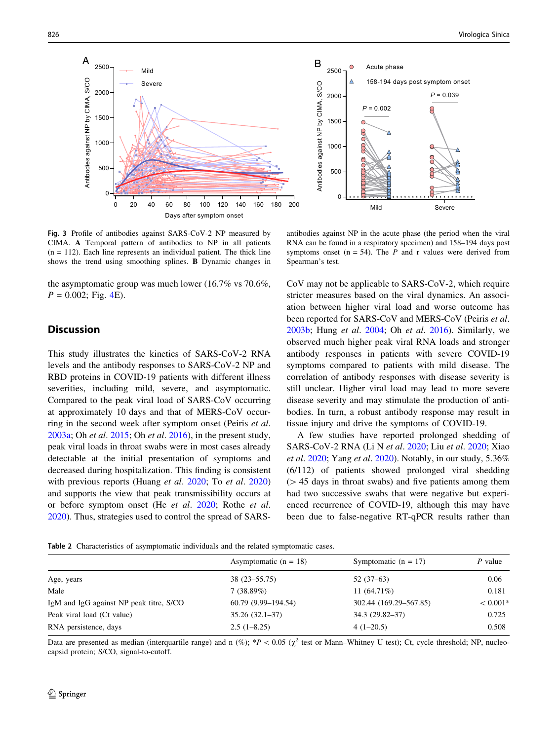<span id="page-6-0"></span>

Fig. 3 Profile of antibodies against SARS-CoV-2 NP measured by CIMA. A Temporal pattern of antibodies to NP in all patients  $(n = 112)$ . Each line represents an individual patient. The thick line shows the trend using smoothing splines. B Dynamic changes in

the asymptomatic group was much lower (16.7% vs 70.6%,  $P = 0.002$ ; Fig. [4](#page-7-0)E).

# **Discussion**

This study illustrates the kinetics of SARS-CoV-2 RNA levels and the antibody responses to SARS-CoV-2 NP and RBD proteins in COVID-19 patients with different illness severities, including mild, severe, and asymptomatic. Compared to the peak viral load of SARS-CoV occurring at approximately 10 days and that of MERS-CoV occurring in the second week after symptom onset (Peiris et al. [2003a](#page-9-0); Oh et al. [2015;](#page-9-0) Oh et al. [2016](#page-9-0)), in the present study, peak viral loads in throat swabs were in most cases already detectable at the initial presentation of symptoms and decreased during hospitalization. This finding is consistent with previous reports (Huang *et al.* [2020;](#page-8-0) To *et al.* [2020\)](#page-9-0) and supports the view that peak transmissibility occurs at or before symptom onset (He et al. [2020](#page-8-0); Rothe et al. [2020\)](#page-9-0). Thus, strategies used to control the spread of SARS-

antibodies against NP in the acute phase (the period when the viral RNA can be found in a respiratory specimen) and 158–194 days post symptoms onset ( $n = 54$ ). The *P* and *r* values were derived from Spearman's test.

CoV may not be applicable to SARS-CoV-2, which require stricter measures based on the viral dynamics. An association between higher viral load and worse outcome has been reported for SARS-CoV and MERS-CoV (Peiris et al. [2003b](#page-9-0); Hung et al. [2004;](#page-8-0) Oh et al. [2016\)](#page-9-0). Similarly, we observed much higher peak viral RNA loads and stronger antibody responses in patients with severe COVID-19 symptoms compared to patients with mild disease. The correlation of antibody responses with disease severity is still unclear. Higher viral load may lead to more severe disease severity and may stimulate the production of antibodies. In turn, a robust antibody response may result in tissue injury and drive the symptoms of COVID-19.

A few studies have reported prolonged shedding of SARS-CoV-2 RNA (Li N et al. [2020;](#page-9-0) Liu et al. [2020](#page-9-0); Xiao et al. [2020;](#page-9-0) Yang et al. [2020](#page-9-0)). Notably, in our study, 5.36% (6/112) of patients showed prolonged viral shedding  $($   $>$  45 days in throat swabs) and five patients among them had two successive swabs that were negative but experienced recurrence of COVID-19, although this may have been due to false-negative RT-qPCR results rather than

Table 2 Characteristics of asymptomatic individuals and the related symptomatic cases.

|                                         | Asymptomatic $(n = 18)$ | Symptomatic $(n = 17)$ | P value    |
|-----------------------------------------|-------------------------|------------------------|------------|
| Age, years                              | 38 (23–55.75)           | $52(37-63)$            | 0.06       |
| Male                                    | 7(38.89%)               | 11 $(64.71\%)$         | 0.181      |
| IgM and IgG against NP peak titre, S/CO | 60.79 (9.99–194.54)     | 302.44 (169.29–567.85) | $< 0.001*$ |
| Peak viral load (Ct value)              | $35.26(32.1-37)$        | $34.3(29.82 - 37)$     | 0.725      |
| RNA persistence, days                   | $2.5(1-8.25)$           | $4(1-20.5)$            | 0.508      |

Data are presented as median (interquartile range) and n (%); \*P < 0.05 ( $\chi^2$  test or Mann–Whitney U test); Ct, cycle threshold; NP, nucleocapsid protein; S/CO, signal-to-cutoff.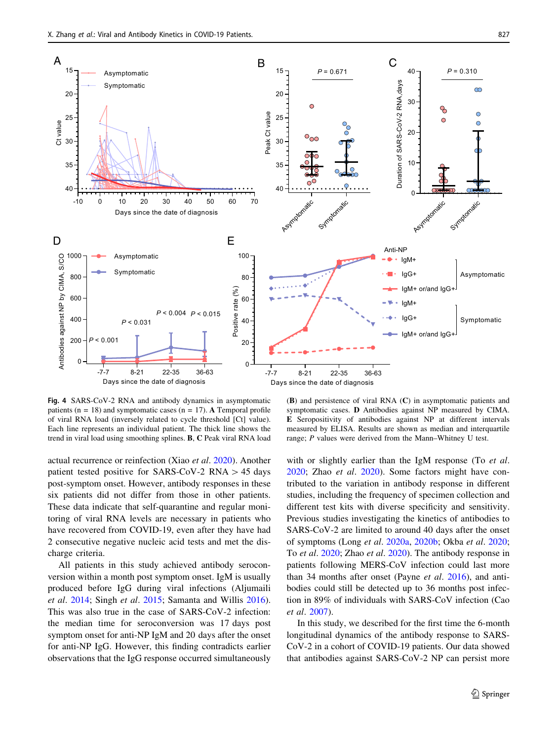<span id="page-7-0"></span>

Fig. 4 SARS-CoV-2 RNA and antibody dynamics in asymptomatic patients ( $n = 18$ ) and symptomatic cases ( $n = 17$ ). A Temporal profile of viral RNA load (inversely related to cycle threshold [Ct] value). Each line represents an individual patient. The thick line shows the trend in viral load using smoothing splines. B, C Peak viral RNA load

actual recurrence or reinfection (Xiao et al. [2020\)](#page-9-0). Another patient tested positive for SARS-CoV-2 RNA  $> 45$  days post-symptom onset. However, antibody responses in these six patients did not differ from those in other patients. These data indicate that self-quarantine and regular monitoring of viral RNA levels are necessary in patients who have recovered from COVID-19, even after they have had 2 consecutive negative nucleic acid tests and met the discharge criteria.

All patients in this study achieved antibody seroconversion within a month post symptom onset. IgM is usually produced before IgG during viral infections (Aljumaili et al. [2014;](#page-8-0) Singh et al. [2015](#page-9-0); Samanta and Willis [2016](#page-9-0)). This was also true in the case of SARS-CoV-2 infection: the median time for seroconversion was 17 days post symptom onset for anti-NP IgM and 20 days after the onset for anti-NP IgG. However, this finding contradicts earlier observations that the IgG response occurred simultaneously

(B) and persistence of viral RNA (C) in asymptomatic patients and symptomatic cases. D Antibodies against NP measured by CIMA. E Seropositivity of antibodies against NP at different intervals measured by ELISA. Results are shown as median and interquartile range; P values were derived from the Mann–Whitney U test.

with or slightly earlier than the IgM response (To *et al.* [2020](#page-9-0); Zhao et al. [2020](#page-9-0)). Some factors might have contributed to the variation in antibody response in different studies, including the frequency of specimen collection and different test kits with diverse specificity and sensitivity. Previous studies investigating the kinetics of antibodies to SARS-CoV-2 are limited to around 40 days after the onset of symptoms (Long et al. [2020a,](#page-9-0) [2020b](#page-9-0); Okba et al. [2020](#page-9-0); To et al. [2020;](#page-9-0) Zhao et al. [2020](#page-9-0)). The antibody response in patients following MERS-CoV infection could last more than 34 months after onset (Payne et al. [2016\)](#page-9-0), and antibodies could still be detected up to 36 months post infection in 89% of individuals with SARS-CoV infection (Cao et al. [2007](#page-8-0)).

In this study, we described for the first time the 6-month longitudinal dynamics of the antibody response to SARS-CoV-2 in a cohort of COVID-19 patients. Our data showed that antibodies against SARS-CoV-2 NP can persist more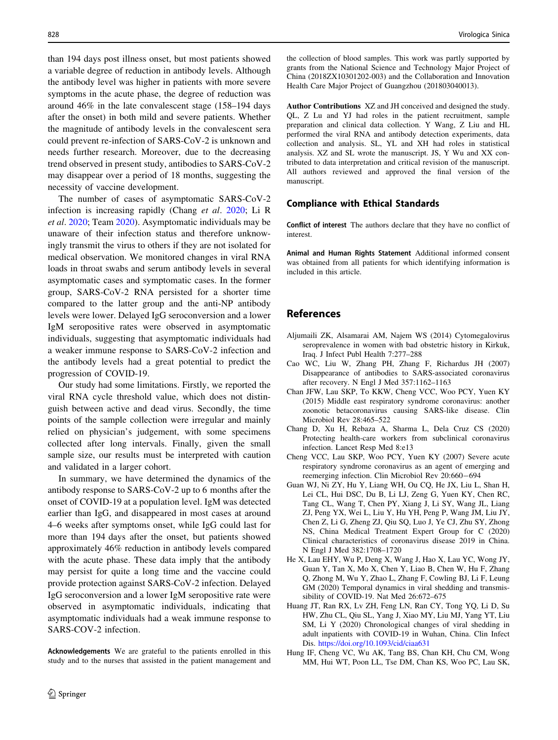<span id="page-8-0"></span>than 194 days post illness onset, but most patients showed a variable degree of reduction in antibody levels. Although the antibody level was higher in patients with more severe symptoms in the acute phase, the degree of reduction was around 46% in the late convalescent stage (158–194 days after the onset) in both mild and severe patients. Whether the magnitude of antibody levels in the convalescent sera could prevent re-infection of SARS-CoV-2 is unknown and needs further research. Moreover, due to the decreasing trend observed in present study, antibodies to SARS-CoV-2 may disappear over a period of 18 months, suggesting the necessity of vaccine development.

The number of cases of asymptomatic SARS-CoV-2 infection is increasing rapidly (Chang et al. 2020; Li R et al. [2020](#page-9-0); Team [2020\)](#page-9-0). Asymptomatic individuals may be unaware of their infection status and therefore unknowingly transmit the virus to others if they are not isolated for medical observation. We monitored changes in viral RNA loads in throat swabs and serum antibody levels in several asymptomatic cases and symptomatic cases. In the former group, SARS-CoV-2 RNA persisted for a shorter time compared to the latter group and the anti-NP antibody levels were lower. Delayed IgG seroconversion and a lower IgM seropositive rates were observed in asymptomatic individuals, suggesting that asymptomatic individuals had a weaker immune response to SARS-CoV-2 infection and the antibody levels had a great potential to predict the progression of COVID-19.

Our study had some limitations. Firstly, we reported the viral RNA cycle threshold value, which does not distinguish between active and dead virus. Secondly, the time points of the sample collection were irregular and mainly relied on physician's judgement, with some specimens collected after long intervals. Finally, given the small sample size, our results must be interpreted with caution and validated in a larger cohort.

In summary, we have determined the dynamics of the antibody response to SARS-CoV-2 up to 6 months after the onset of COVID-19 at a population level. IgM was detected earlier than IgG, and disappeared in most cases at around 4–6 weeks after symptoms onset, while IgG could last for more than 194 days after the onset, but patients showed approximately 46% reduction in antibody levels compared with the acute phase. These data imply that the antibody may persist for quite a long time and the vaccine could provide protection against SARS-CoV-2 infection. Delayed IgG seroconversion and a lower IgM seropositive rate were observed in asymptomatic individuals, indicating that asymptomatic individuals had a weak immune response to SARS-COV-2 infection.

Acknowledgements We are grateful to the patients enrolled in this study and to the nurses that assisted in the patient management and

the collection of blood samples. This work was partly supported by grants from the National Science and Technology Major Project of China (2018ZX10301202-003) and the Collaboration and Innovation Health Care Major Project of Guangzhou (201803040013).

Author Contributions XZ and JH conceived and designed the study. QL, Z Lu and YJ had roles in the patient recruitment, sample preparation and clinical data collection. Y Wang, Z Liu and HL performed the viral RNA and antibody detection experiments, data collection and analysis. SL, YL and XH had roles in statistical analysis. XZ and SL wrote the manuscript. JS, Y Wu and XX contributed to data interpretation and critical revision of the manuscript. All authors reviewed and approved the final version of the manuscript.

# Compliance with Ethical Standards

Conflict of interest The authors declare that they have no conflict of interest.

Animal and Human Rights Statement Additional informed consent was obtained from all patients for which identifying information is included in this article.

# References

- Aljumaili ZK, Alsamarai AM, Najem WS (2014) Cytomegalovirus seroprevalence in women with bad obstetric history in Kirkuk, Iraq. J Infect Publ Health 7:277–288
- Cao WC, Liu W, Zhang PH, Zhang F, Richardus JH (2007) Disappearance of antibodies to SARS-associated coronavirus after recovery. N Engl J Med 357:1162–1163
- Chan JFW, Lau SKP, To KKW, Cheng VCC, Woo PCY, Yuen KY (2015) Middle east respiratory syndrome coronavirus: another zoonotic betacoronavirus causing SARS-like disease. Clin Microbiol Rev 28:465–522
- Chang D, Xu H, Rebaza A, Sharma L, Dela Cruz CS (2020) Protecting health-care workers from subclinical coronavirus infection. Lancet Resp Med 8:e13
- Cheng VCC, Lau SKP, Woo PCY, Yuen KY (2007) Severe acute respiratory syndrome coronavirus as an agent of emerging and reemerging infection. Clin Microbiol Rev 20:660-694
- Guan WJ, Ni ZY, Hu Y, Liang WH, Ou CQ, He JX, Liu L, Shan H, Lei CL, Hui DSC, Du B, Li LJ, Zeng G, Yuen KY, Chen RC, Tang CL, Wang T, Chen PY, Xiang J, Li SY, Wang JL, Liang ZJ, Peng YX, Wei L, Liu Y, Hu YH, Peng P, Wang JM, Liu JY, Chen Z, Li G, Zheng ZJ, Qiu SQ, Luo J, Ye CJ, Zhu SY, Zhong NS, China Medical Treatment Expert Group for C (2020) Clinical characteristics of coronavirus disease 2019 in China. N Engl J Med 382:1708–1720
- He X, Lau EHY, Wu P, Deng X, Wang J, Hao X, Lau YC, Wong JY, Guan Y, Tan X, Mo X, Chen Y, Liao B, Chen W, Hu F, Zhang Q, Zhong M, Wu Y, Zhao L, Zhang F, Cowling BJ, Li F, Leung GM (2020) Temporal dynamics in viral shedding and transmissibility of COVID-19. Nat Med 26:672–675
- Huang JT, Ran RX, Lv ZH, Feng LN, Ran CY, Tong YQ, Li D, Su HW, Zhu CL, Qiu SL, Yang J, Xiao MY, Liu MJ, Yang YT, Liu SM, Li Y (2020) Chronological changes of viral shedding in adult inpatients with COVID-19 in Wuhan, China. Clin Infect Dis. <https://doi.org/10.1093/cid/ciaa631>
- Hung IF, Cheng VC, Wu AK, Tang BS, Chan KH, Chu CM, Wong MM, Hui WT, Poon LL, Tse DM, Chan KS, Woo PC, Lau SK,